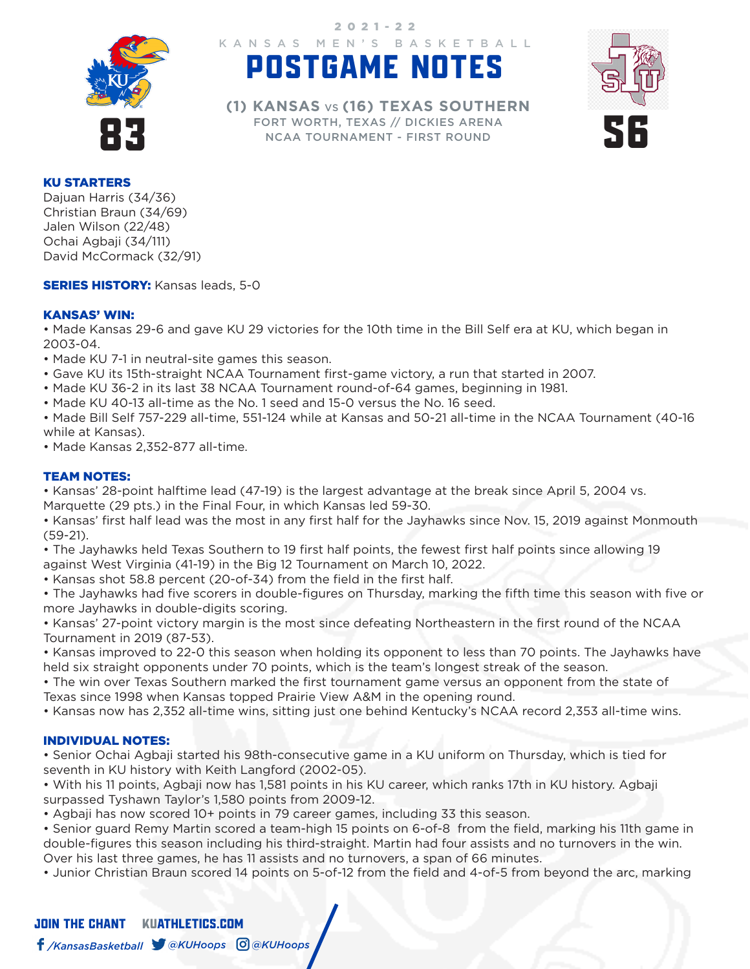

KANSAS MEN'S BASKETBALL 2021-22

# POSTGAME NOTES



FORT WORTH, TEXAS SUGGITILARY<br>
FORT WORTH, TEXAS // DICKIES ARENA<br>
NCAA TOURNAMENT - FIRST ROUND **(1) KANSAS** VS **(16) TEXAS SOUTHERN** NCAA TOURNAMENT - FIRST ROUND

#### KU STARTERS

Dajuan Harris (34/36) Christian Braun (34/69) Jalen Wilson (22/48) Ochai Agbaji (34/111) David McCormack (32/91)

**SERIES HISTORY: Kansas leads, 5-0** 

#### KANSAS' WIN:

• Made Kansas 29-6 and gave KU 29 victories for the 10th time in the Bill Self era at KU, which began in 2003-04.

- Made KU 7-1 in neutral-site games this season.
- Gave KU its 15th-straight NCAA Tournament first-game victory, a run that started in 2007.
- Made KU 36-2 in its last 38 NCAA Tournament round-of-64 games, beginning in 1981.
- Made KU 40-13 all-time as the No. 1 seed and 15-0 versus the No. 16 seed.
- Made Bill Self 757-229 all-time, 551-124 while at Kansas and 50-21 all-time in the NCAA Tournament (40-16 while at Kansas).
- Made Kansas 2,352-877 all-time.

### TEAM NOTES:

• Kansas' 28-point halftime lead (47-19) is the largest advantage at the break since April 5, 2004 vs. Marquette (29 pts.) in the Final Four, in which Kansas led 59-30.

• Kansas' first half lead was the most in any first half for the Jayhawks since Nov. 15, 2019 against Monmouth (59-21).

• The Jayhawks held Texas Southern to 19 first half points, the fewest first half points since allowing 19 against West Virginia (41-19) in the Big 12 Tournament on March 10, 2022.

• Kansas shot 58.8 percent (20-of-34) from the field in the first half.

• The Jayhawks had five scorers in double-figures on Thursday, marking the fifth time this season with five or more Jayhawks in double-digits scoring.

• Kansas' 27-point victory margin is the most since defeating Northeastern in the first round of the NCAA Tournament in 2019 (87-53).

• Kansas improved to 22-0 this season when holding its opponent to less than 70 points. The Jayhawks have held six straight opponents under 70 points, which is the team's longest streak of the season.

• The win over Texas Southern marked the first tournament game versus an opponent from the state of Texas since 1998 when Kansas topped Prairie View A&M in the opening round.

• Kansas now has 2,352 all-time wins, sitting just one behind Kentucky's NCAA record 2,353 all-time wins.

#### INDIVIDUAL NOTES:

• Senior Ochai Agbaji started his 98th-consecutive game in a KU uniform on Thursday, which is tied for seventh in KU history with Keith Langford (2002-05).

• With his 11 points, Agbaji now has 1,581 points in his KU career, which ranks 17th in KU history. Agbaji surpassed Tyshawn Taylor's 1,580 points from 2009-12.

• Agbaji has now scored 10+ points in 79 career games, including 33 this season.

• Senior guard Remy Martin scored a team-high 15 points on 6-of-8 from the field, marking his 11th game in double-figures this season including his third-straight. Martin had four assists and no turnovers in the win. Over his last three games, he has 11 assists and no turnovers, a span of 66 minutes.

• Junior Christian Braun scored 14 points on 5-of-12 from the field and 4-of-5 from beyond the arc, marking

## JOIN THE CHANTKUATHLETICS.COM */KansasBasketball @KUHoops @KUHoops*